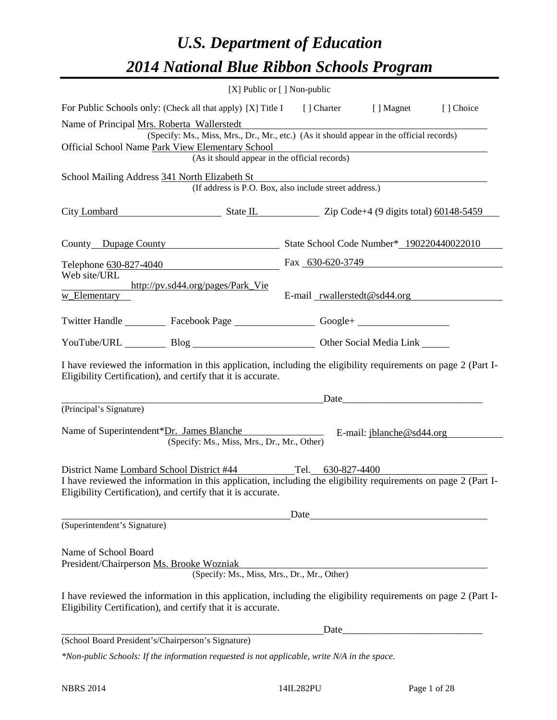# *U.S. Department of Education 2014 National Blue Ribbon Schools Program*

|                                                                                                                                                                                                                                               | $[X]$ Public or $[ ]$ Non-public |      |                                                                      |  |
|-----------------------------------------------------------------------------------------------------------------------------------------------------------------------------------------------------------------------------------------------|----------------------------------|------|----------------------------------------------------------------------|--|
| For Public Schools only: (Check all that apply) [X] Title I [] Charter [] Magnet [] Choice                                                                                                                                                    |                                  |      |                                                                      |  |
| Name of Principal Mrs. Roberta Wallerstedt<br>(Specify: Ms., Miss, Mrs., Dr., Mr., etc.) (As it should appear in the official records)<br>Official School Name Park View Elementary School                                                    |                                  |      | v Elementary School<br>(As it should appear in the official records) |  |
| School Mailing Address 341 North Elizabeth St<br>(If address is P.O. Box, also include street address.)                                                                                                                                       |                                  |      |                                                                      |  |
| City Lombard State IL State IL Zip Code+4 (9 digits total) 60148-5459                                                                                                                                                                         |                                  |      |                                                                      |  |
| County Dupage County State School Code Number* 190220440022010                                                                                                                                                                                |                                  |      |                                                                      |  |
| Telephone 630-827-4040                                                                                                                                                                                                                        |                                  |      | Fax 630-620-3749                                                     |  |
| Web site/URL<br>http://pv.sd44.org/pages/Park_Vie<br>w_Elementary                                                                                                                                                                             |                                  |      | E-mail $r$ wallerstedt@sd44.org                                      |  |
| Twitter Handle ___________ Facebook Page ___________________ Google+ ____________                                                                                                                                                             |                                  |      |                                                                      |  |
| YouTube/URL Blog Blog Discount Cher Social Media Link                                                                                                                                                                                         |                                  |      |                                                                      |  |
| I have reviewed the information in this application, including the eligibility requirements on page 2 (Part I-<br>Eligibility Certification), and certify that it is accurate.                                                                |                                  |      |                                                                      |  |
|                                                                                                                                                                                                                                               |                                  |      | <u>Date</u>                                                          |  |
| (Principal's Signature)<br>Name of Superintendent*Dr. James Blanche<br>E-mail: jblanche@sd44.org<br>(Specify: Ms., Miss, Mrs., Dr., Mr., Other)                                                                                               |                                  |      |                                                                      |  |
| District Name Lombard School District #44 Tel. 630-827-4400<br>I have reviewed the information in this application, including the eligibility requirements on page 2 (Part I-<br>Eligibility Certification), and certify that it is accurate. |                                  |      |                                                                      |  |
| (Superintendent's Signature)                                                                                                                                                                                                                  | Date                             |      |                                                                      |  |
| Name of School Board<br>President/Chairperson Ms. Brooke Wozniak<br>(Specify: Ms., Miss, Mrs., Dr., Mr., Other)                                                                                                                               |                                  |      |                                                                      |  |
| I have reviewed the information in this application, including the eligibility requirements on page 2 (Part I-<br>Eligibility Certification), and certify that it is accurate.                                                                |                                  |      |                                                                      |  |
|                                                                                                                                                                                                                                               |                                  | Data |                                                                      |  |
| (School Board President's/Chairperson's Signature)                                                                                                                                                                                            |                                  |      |                                                                      |  |
| *Non-public Schools: If the information requested is not applicable, write N/A in the space.                                                                                                                                                  |                                  |      |                                                                      |  |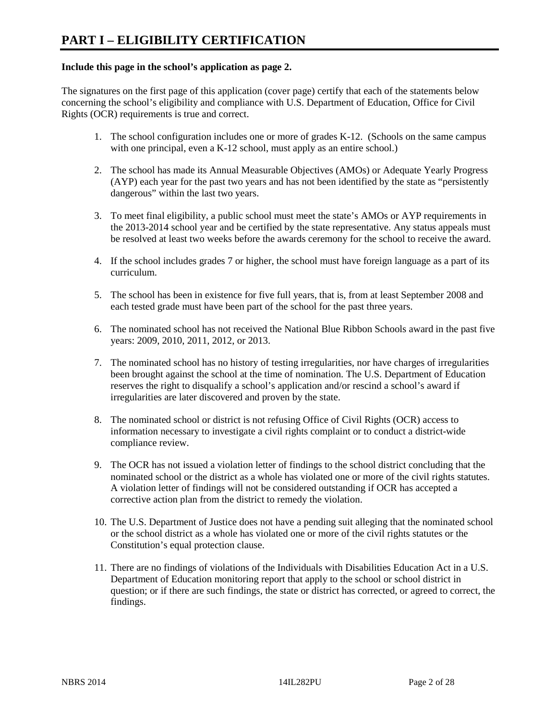# **Include this page in the school's application as page 2.**

The signatures on the first page of this application (cover page) certify that each of the statements below concerning the school's eligibility and compliance with U.S. Department of Education, Office for Civil Rights (OCR) requirements is true and correct.

- 1. The school configuration includes one or more of grades K-12. (Schools on the same campus with one principal, even a K-12 school, must apply as an entire school.)
- 2. The school has made its Annual Measurable Objectives (AMOs) or Adequate Yearly Progress (AYP) each year for the past two years and has not been identified by the state as "persistently dangerous" within the last two years.
- 3. To meet final eligibility, a public school must meet the state's AMOs or AYP requirements in the 2013-2014 school year and be certified by the state representative. Any status appeals must be resolved at least two weeks before the awards ceremony for the school to receive the award.
- 4. If the school includes grades 7 or higher, the school must have foreign language as a part of its curriculum.
- 5. The school has been in existence for five full years, that is, from at least September 2008 and each tested grade must have been part of the school for the past three years.
- 6. The nominated school has not received the National Blue Ribbon Schools award in the past five years: 2009, 2010, 2011, 2012, or 2013.
- 7. The nominated school has no history of testing irregularities, nor have charges of irregularities been brought against the school at the time of nomination. The U.S. Department of Education reserves the right to disqualify a school's application and/or rescind a school's award if irregularities are later discovered and proven by the state.
- 8. The nominated school or district is not refusing Office of Civil Rights (OCR) access to information necessary to investigate a civil rights complaint or to conduct a district-wide compliance review.
- 9. The OCR has not issued a violation letter of findings to the school district concluding that the nominated school or the district as a whole has violated one or more of the civil rights statutes. A violation letter of findings will not be considered outstanding if OCR has accepted a corrective action plan from the district to remedy the violation.
- 10. The U.S. Department of Justice does not have a pending suit alleging that the nominated school or the school district as a whole has violated one or more of the civil rights statutes or the Constitution's equal protection clause.
- 11. There are no findings of violations of the Individuals with Disabilities Education Act in a U.S. Department of Education monitoring report that apply to the school or school district in question; or if there are such findings, the state or district has corrected, or agreed to correct, the findings.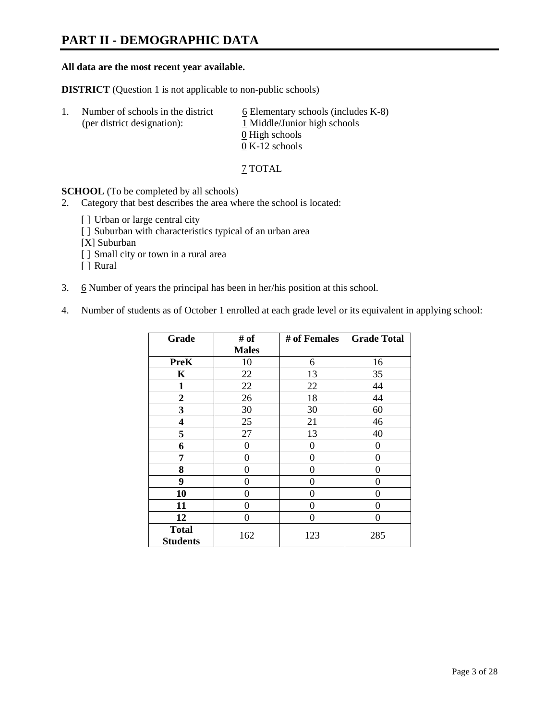# **PART II - DEMOGRAPHIC DATA**

#### **All data are the most recent year available.**

**DISTRICT** (Question 1 is not applicable to non-public schools)

| -1. | Number of schools in the district<br>(per district designation): | $6$ Elementary schools (includes K-8)<br>1 Middle/Junior high schools<br>0 High schools |
|-----|------------------------------------------------------------------|-----------------------------------------------------------------------------------------|
|     |                                                                  |                                                                                         |
|     |                                                                  | $0 K-12$ schools                                                                        |

7 TOTAL

**SCHOOL** (To be completed by all schools)

- 2. Category that best describes the area where the school is located:
	- [] Urban or large central city
	- [ ] Suburban with characteristics typical of an urban area
	- [X] Suburban
	- [ ] Small city or town in a rural area
	- [ ] Rural
- 3. 6 Number of years the principal has been in her/his position at this school.
- 4. Number of students as of October 1 enrolled at each grade level or its equivalent in applying school:

| Grade                           | # of         | # of Females | <b>Grade Total</b> |
|---------------------------------|--------------|--------------|--------------------|
|                                 | <b>Males</b> |              |                    |
| <b>PreK</b>                     | 10           | 6            | 16                 |
| K                               | 22           | 13           | 35                 |
| $\mathbf{1}$                    | 22           | 22           | 44                 |
| $\overline{2}$                  | 26           | 18           | 44                 |
| 3                               | 30           | 30           | 60                 |
| 4                               | 25           | 21           | 46                 |
| 5                               | 27           | 13           | 40                 |
| 6                               | 0            | 0            | 0                  |
| 7                               | 0            | 0            | 0                  |
| 8                               | 0            | 0            | 0                  |
| 9                               | 0            | 0            | 0                  |
| 10                              | 0            | 0            | 0                  |
| 11                              | 0            | 0            | 0                  |
| 12                              | 0            | 0            | 0                  |
| <b>Total</b><br><b>Students</b> | 162          | 123          | 285                |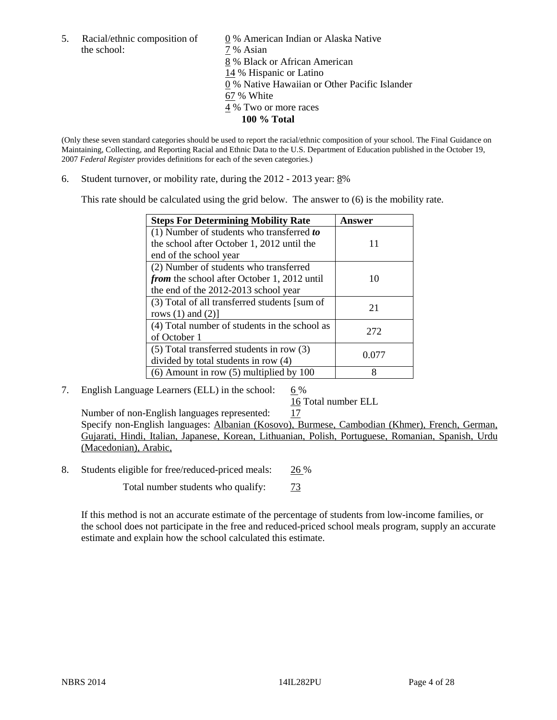the school:  $7\%$  Asian

5. Racial/ethnic composition of  $\qquad \qquad \underline{0}$  % American Indian or Alaska Native 8 % Black or African American 14 % Hispanic or Latino 0 % Native Hawaiian or Other Pacific Islander 67 % White 4 % Two or more races **100 % Total** 

(Only these seven standard categories should be used to report the racial/ethnic composition of your school. The Final Guidance on Maintaining, Collecting, and Reporting Racial and Ethnic Data to the U.S. Department of Education published in the October 19, 2007 *Federal Register* provides definitions for each of the seven categories.)

6. Student turnover, or mobility rate, during the 2012 - 2013 year: 8%

This rate should be calculated using the grid below. The answer to (6) is the mobility rate.

| <b>Steps For Determining Mobility Rate</b>         | Answer |
|----------------------------------------------------|--------|
| $(1)$ Number of students who transferred to        |        |
| the school after October 1, 2012 until the         | 11     |
| end of the school year                             |        |
| (2) Number of students who transferred             |        |
| <i>from</i> the school after October 1, 2012 until | 10     |
| the end of the 2012-2013 school year               |        |
| (3) Total of all transferred students [sum of      | 21     |
| rows $(1)$ and $(2)$ ]                             |        |
| (4) Total number of students in the school as      | 272    |
| of October 1                                       |        |
| $(5)$ Total transferred students in row $(3)$      | 0.077  |
| divided by total students in row (4)               |        |
| $(6)$ Amount in row $(5)$ multiplied by 100        | 8      |

7. English Language Learners (ELL) in the school:  $6\%$ 

16 Total number ELL

Number of non-English languages represented: 17 Specify non-English languages: Albanian (Kosovo), Burmese, Cambodian (Khmer), French, German, Gujarati, Hindi, Italian, Japanese, Korean, Lithuanian, Polish, Portuguese, Romanian, Spanish, Urdu (Macedonian), Arabic,

8. Students eligible for free/reduced-priced meals: 26 %

Total number students who qualify:  $\frac{73}{ }$ 

If this method is not an accurate estimate of the percentage of students from low-income families, or the school does not participate in the free and reduced-priced school meals program, supply an accurate estimate and explain how the school calculated this estimate.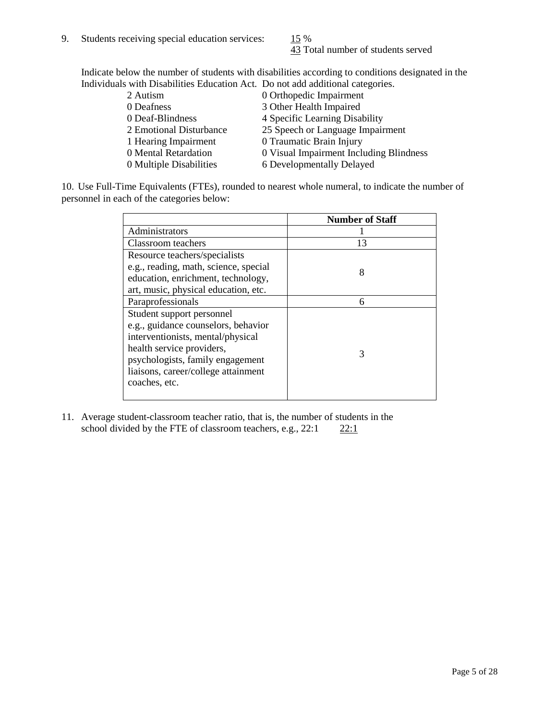43 Total number of students served

Indicate below the number of students with disabilities according to conditions designated in the Individuals with Disabilities Education Act. Do not add additional categories.

| 2 Autism                | 0 Orthopedic Impairment                 |
|-------------------------|-----------------------------------------|
| 0 Deafness              | 3 Other Health Impaired                 |
| 0 Deaf-Blindness        | 4 Specific Learning Disability          |
| 2 Emotional Disturbance | 25 Speech or Language Impairment        |
| 1 Hearing Impairment    | 0 Traumatic Brain Injury                |
| 0 Mental Retardation    | 0 Visual Impairment Including Blindness |
| 0 Multiple Disabilities | 6 Developmentally Delayed               |
|                         |                                         |

10. Use Full-Time Equivalents (FTEs), rounded to nearest whole numeral, to indicate the number of personnel in each of the categories below:

|                                       | <b>Number of Staff</b> |
|---------------------------------------|------------------------|
| Administrators                        |                        |
| Classroom teachers                    | 13                     |
| Resource teachers/specialists         |                        |
| e.g., reading, math, science, special | 8                      |
| education, enrichment, technology,    |                        |
| art, music, physical education, etc.  |                        |
| Paraprofessionals                     | 6                      |
| Student support personnel             |                        |
| e.g., guidance counselors, behavior   |                        |
| interventionists, mental/physical     |                        |
| health service providers,             | 3                      |
| psychologists, family engagement      |                        |
| liaisons, career/college attainment   |                        |
| coaches, etc.                         |                        |
|                                       |                        |

11. Average student-classroom teacher ratio, that is, the number of students in the school divided by the FTE of classroom teachers, e.g.,  $22:1$   $22:1$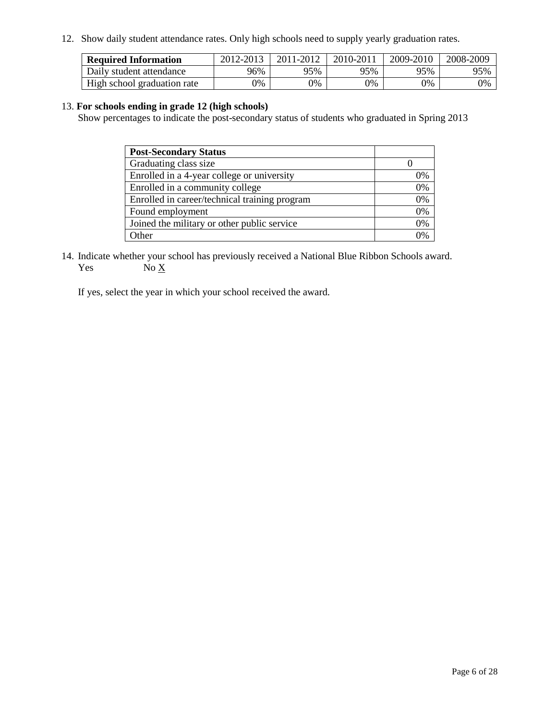12. Show daily student attendance rates. Only high schools need to supply yearly graduation rates.

| <b>Required Information</b> | 2012-2013 | 2011-2012 | 2010-2011 | 2009-2010 | 2008-2009 |
|-----------------------------|-----------|-----------|-----------|-----------|-----------|
| Daily student attendance    | 96%       | 95%       | 95%       | 95%       | 95%       |
| High school graduation rate | 9%        | 0%        | 0%        | 0%        | 0%        |

### 13. **For schools ending in grade 12 (high schools)**

Show percentages to indicate the post-secondary status of students who graduated in Spring 2013

| <b>Post-Secondary Status</b>                  |    |
|-----------------------------------------------|----|
| Graduating class size                         |    |
| Enrolled in a 4-year college or university    | 0% |
| Enrolled in a community college               | 0% |
| Enrolled in career/technical training program | 0% |
| Found employment                              | 0% |
| Joined the military or other public service   | 0% |
| <b>Other</b>                                  | 2% |

14. Indicate whether your school has previously received a National Blue Ribbon Schools award. Yes  $No \underline{X}$ 

If yes, select the year in which your school received the award.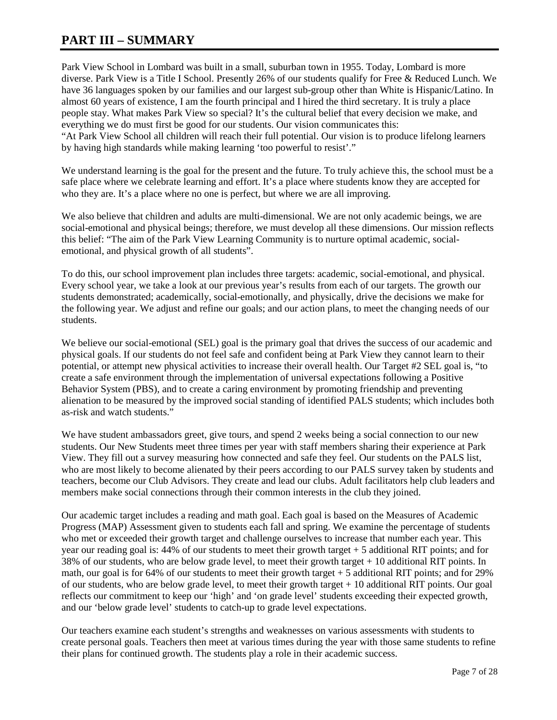# **PART III – SUMMARY**

Park View School in Lombard was built in a small, suburban town in 1955. Today, Lombard is more diverse. Park View is a Title I School. Presently 26% of our students qualify for Free & Reduced Lunch. We have 36 languages spoken by our families and our largest sub-group other than White is Hispanic/Latino. In almost 60 years of existence, I am the fourth principal and I hired the third secretary. It is truly a place people stay. What makes Park View so special? It's the cultural belief that every decision we make, and everything we do must first be good for our students. Our vision communicates this: "At Park View School all children will reach their full potential. Our vision is to produce lifelong learners by having high standards while making learning 'too powerful to resist'."

We understand learning is the goal for the present and the future. To truly achieve this, the school must be a safe place where we celebrate learning and effort. It's a place where students know they are accepted for who they are. It's a place where no one is perfect, but where we are all improving.

We also believe that children and adults are multi-dimensional. We are not only academic beings, we are social-emotional and physical beings; therefore, we must develop all these dimensions. Our mission reflects this belief: "The aim of the Park View Learning Community is to nurture optimal academic, socialemotional, and physical growth of all students".

To do this, our school improvement plan includes three targets: academic, social-emotional, and physical. Every school year, we take a look at our previous year's results from each of our targets. The growth our students demonstrated; academically, social-emotionally, and physically, drive the decisions we make for the following year. We adjust and refine our goals; and our action plans, to meet the changing needs of our students.

We believe our social-emotional (SEL) goal is the primary goal that drives the success of our academic and physical goals. If our students do not feel safe and confident being at Park View they cannot learn to their potential, or attempt new physical activities to increase their overall health. Our Target #2 SEL goal is, "to create a safe environment through the implementation of universal expectations following a Positive Behavior System (PBS), and to create a caring environment by promoting friendship and preventing alienation to be measured by the improved social standing of identified PALS students; which includes both as-risk and watch students."

We have student ambassadors greet, give tours, and spend 2 weeks being a social connection to our new students. Our New Students meet three times per year with staff members sharing their experience at Park View. They fill out a survey measuring how connected and safe they feel. Our students on the PALS list, who are most likely to become alienated by their peers according to our PALS survey taken by students and teachers, become our Club Advisors. They create and lead our clubs. Adult facilitators help club leaders and members make social connections through their common interests in the club they joined.

Our academic target includes a reading and math goal. Each goal is based on the Measures of Academic Progress (MAP) Assessment given to students each fall and spring. We examine the percentage of students who met or exceeded their growth target and challenge ourselves to increase that number each year. This year our reading goal is: 44% of our students to meet their growth target + 5 additional RIT points; and for 38% of our students, who are below grade level, to meet their growth target  $+10$  additional RIT points. In math, our goal is for 64% of our students to meet their growth target + 5 additional RIT points; and for 29% of our students, who are below grade level, to meet their growth target + 10 additional RIT points. Our goal reflects our commitment to keep our 'high' and 'on grade level' students exceeding their expected growth, and our 'below grade level' students to catch-up to grade level expectations.

Our teachers examine each student's strengths and weaknesses on various assessments with students to create personal goals. Teachers then meet at various times during the year with those same students to refine their plans for continued growth. The students play a role in their academic success.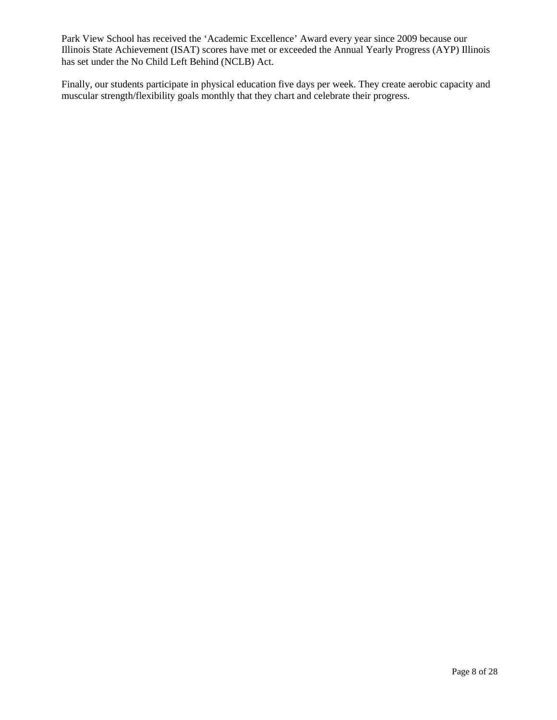Park View School has received the 'Academic Excellence' Award every year since 2009 because our Illinois State Achievement (ISAT) scores have met or exceeded the Annual Yearly Progress (AYP) Illinois has set under the No Child Left Behind (NCLB) Act.

Finally, our students participate in physical education five days per week. They create aerobic capacity and muscular strength/flexibility goals monthly that they chart and celebrate their progress.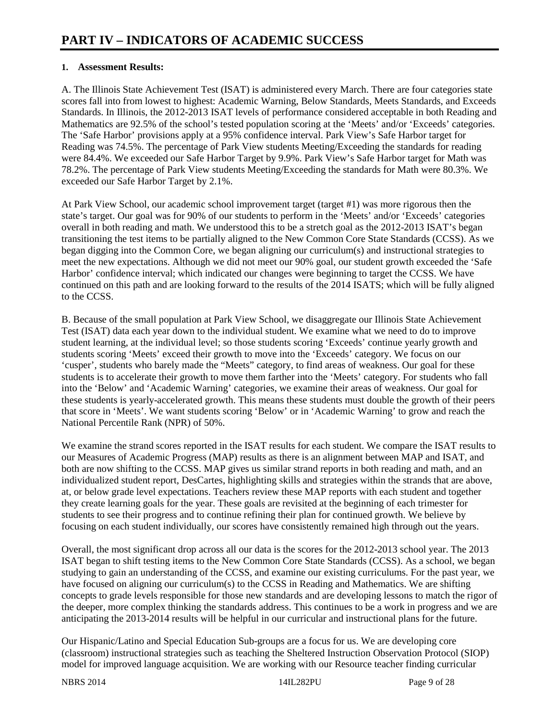# **1. Assessment Results:**

A. The Illinois State Achievement Test (ISAT) is administered every March. There are four categories state scores fall into from lowest to highest: Academic Warning, Below Standards, Meets Standards, and Exceeds Standards. In Illinois, the 2012-2013 ISAT levels of performance considered acceptable in both Reading and Mathematics are 92.5% of the school's tested population scoring at the 'Meets' and/or 'Exceeds' categories. The 'Safe Harbor' provisions apply at a 95% confidence interval. Park View's Safe Harbor target for Reading was 74.5%. The percentage of Park View students Meeting/Exceeding the standards for reading were 84.4%. We exceeded our Safe Harbor Target by 9.9%. Park View's Safe Harbor target for Math was 78.2%. The percentage of Park View students Meeting/Exceeding the standards for Math were 80.3%. We exceeded our Safe Harbor Target by 2.1%.

At Park View School, our academic school improvement target (target #1) was more rigorous then the state's target. Our goal was for 90% of our students to perform in the 'Meets' and/or 'Exceeds' categories overall in both reading and math. We understood this to be a stretch goal as the 2012-2013 ISAT's began transitioning the test items to be partially aligned to the New Common Core State Standards (CCSS). As we began digging into the Common Core, we began aligning our curriculum(s) and instructional strategies to meet the new expectations. Although we did not meet our 90% goal, our student growth exceeded the 'Safe Harbor' confidence interval; which indicated our changes were beginning to target the CCSS. We have continued on this path and are looking forward to the results of the 2014 ISATS; which will be fully aligned to the CCSS.

B. Because of the small population at Park View School, we disaggregate our Illinois State Achievement Test (ISAT) data each year down to the individual student. We examine what we need to do to improve student learning, at the individual level; so those students scoring 'Exceeds' continue yearly growth and students scoring 'Meets' exceed their growth to move into the 'Exceeds' category. We focus on our 'cusper', students who barely made the "Meets" category, to find areas of weakness. Our goal for these students is to accelerate their growth to move them farther into the 'Meets' category. For students who fall into the 'Below' and 'Academic Warning' categories, we examine their areas of weakness. Our goal for these students is yearly-accelerated growth. This means these students must double the growth of their peers that score in 'Meets'. We want students scoring 'Below' or in 'Academic Warning' to grow and reach the National Percentile Rank (NPR) of 50%.

We examine the strand scores reported in the ISAT results for each student. We compare the ISAT results to our Measures of Academic Progress (MAP) results as there is an alignment between MAP and ISAT, and both are now shifting to the CCSS. MAP gives us similar strand reports in both reading and math, and an individualized student report, DesCartes, highlighting skills and strategies within the strands that are above, at, or below grade level expectations. Teachers review these MAP reports with each student and together they create learning goals for the year. These goals are revisited at the beginning of each trimester for students to see their progress and to continue refining their plan for continued growth. We believe by focusing on each student individually, our scores have consistently remained high through out the years.

Overall, the most significant drop across all our data is the scores for the 2012-2013 school year. The 2013 ISAT began to shift testing items to the New Common Core State Standards (CCSS). As a school, we began studying to gain an understanding of the CCSS, and examine our existing curriculums. For the past year, we have focused on aligning our curriculum(s) to the CCSS in Reading and Mathematics. We are shifting concepts to grade levels responsible for those new standards and are developing lessons to match the rigor of the deeper, more complex thinking the standards address. This continues to be a work in progress and we are anticipating the 2013-2014 results will be helpful in our curricular and instructional plans for the future.

Our Hispanic/Latino and Special Education Sub-groups are a focus for us. We are developing core (classroom) instructional strategies such as teaching the Sheltered Instruction Observation Protocol (SIOP) model for improved language acquisition. We are working with our Resource teacher finding curricular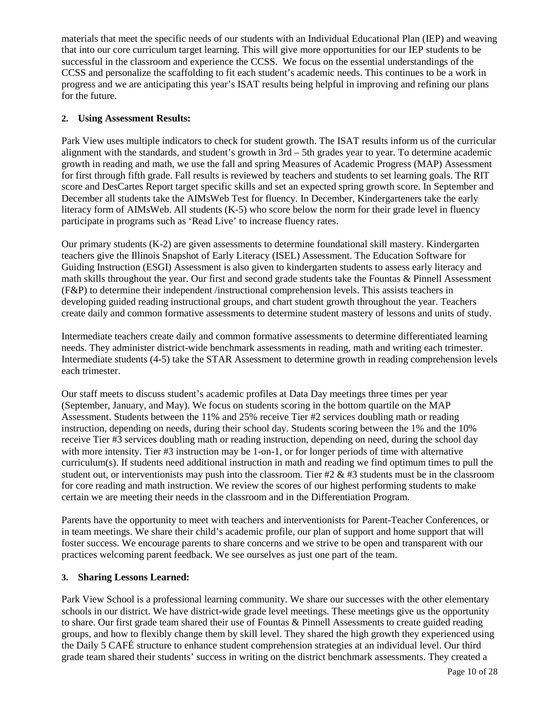materials that meet the specific needs of our students with an Individual Educational Plan (IEP) and weaving that into our core curriculum target learning. This will give more opportunities for our IEP students to be successful in the classroom and experience the CCSS. We focus on the essential understandings of the CCSS and personalize the scaffolding to fit each student's academic needs. This continues to be a work in progress and we are anticipating this year's ISAT results being helpful in improving and refining our plans for the future.

# **2. Using Assessment Results:**

Park View uses multiple indicators to check for student growth. The ISAT results inform us of the curricular alignment with the standards, and student's growth in 3rd – 5th grades year to year. To determine academic growth in reading and math, we use the fall and spring Measures of Academic Progress (MAP) Assessment for first through fifth grade. Fall results is reviewed by teachers and students to set learning goals. The RIT score and DesCartes Report target specific skills and set an expected spring growth score. In September and December all students take the AIMsWeb Test for fluency. In December, Kindergarteners take the early literacy form of AIMsWeb. All students (K-5) who score below the norm for their grade level in fluency participate in programs such as 'Read Live' to increase fluency rates.

Our primary students (K-2) are given assessments to determine foundational skill mastery. Kindergarten teachers give the Illinois Snapshot of Early Literacy (ISEL) Assessment. The Education Software for Guiding Instruction (ESGI) Assessment is also given to kindergarten students to assess early literacy and math skills throughout the year. Our first and second grade students take the Fountas & Pinnell Assessment (F&P) to determine their independent /instructional comprehension levels. This assists teachers in developing guided reading instructional groups, and chart student growth throughout the year. Teachers create daily and common formative assessments to determine student mastery of lessons and units of study.

Intermediate teachers create daily and common formative assessments to determine differentiated learning needs. They administer district-wide benchmark assessments in reading, math and writing each trimester. Intermediate students (4-5) take the STAR Assessment to determine growth in reading comprehension levels each trimester.

Our staff meets to discuss student's academic profiles at Data Day meetings three times per year (September, January, and May). We focus on students scoring in the bottom quartile on the MAP Assessment. Students between the 11% and 25% receive Tier #2 services doubling math or reading instruction, depending on needs, during their school day. Students scoring between the 1% and the 10% receive Tier #3 services doubling math or reading instruction, depending on need, during the school day with more intensity. Tier #3 instruction may be 1-on-1, or for longer periods of time with alternative curriculum(s). If students need additional instruction in math and reading we find optimum times to pull the student out, or interventionists may push into the classroom. Tier  $#2 \& #3$  students must be in the classroom for core reading and math instruction. We review the scores of our highest performing students to make certain we are meeting their needs in the classroom and in the Differentiation Program.

Parents have the opportunity to meet with teachers and interventionists for Parent-Teacher Conferences, or in team meetings. We share their child's academic profile, our plan of support and home support that will foster success. We encourage parents to share concerns and we strive to be open and transparent with our practices welcoming parent feedback. We see ourselves as just one part of the team.

# **3. Sharing Lessons Learned:**

Park View School is a professional learning community. We share our successes with the other elementary schools in our district. We have district-wide grade level meetings. These meetings give us the opportunity to share. Our first grade team shared their use of Fountas & Pinnell Assessments to create guided reading groups, and how to flexibly change them by skill level. They shared the high growth they experienced using the Daily 5 CAFÉ structure to enhance student comprehension strategies at an individual level. Our third grade team shared their students' success in writing on the district benchmark assessments. They created a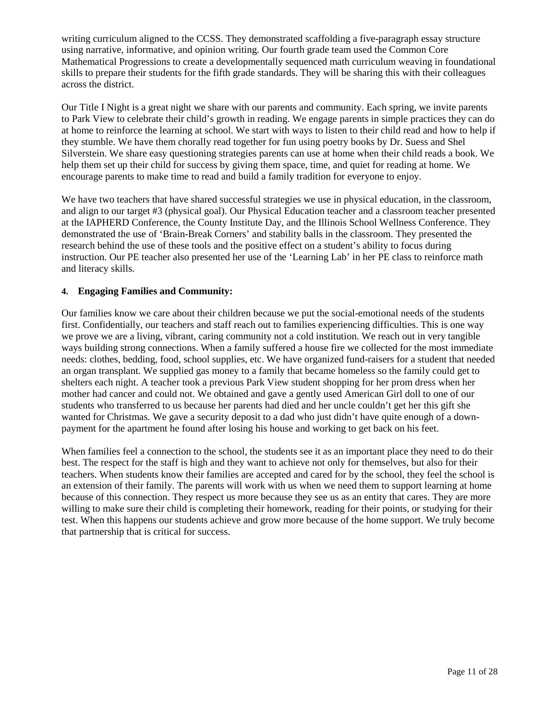writing curriculum aligned to the CCSS. They demonstrated scaffolding a five-paragraph essay structure using narrative, informative, and opinion writing. Our fourth grade team used the Common Core Mathematical Progressions to create a developmentally sequenced math curriculum weaving in foundational skills to prepare their students for the fifth grade standards. They will be sharing this with their colleagues across the district.

Our Title I Night is a great night we share with our parents and community. Each spring, we invite parents to Park View to celebrate their child's growth in reading. We engage parents in simple practices they can do at home to reinforce the learning at school. We start with ways to listen to their child read and how to help if they stumble. We have them chorally read together for fun using poetry books by Dr. Suess and Shel Silverstein. We share easy questioning strategies parents can use at home when their child reads a book. We help them set up their child for success by giving them space, time, and quiet for reading at home. We encourage parents to make time to read and build a family tradition for everyone to enjoy.

We have two teachers that have shared successful strategies we use in physical education, in the classroom, and align to our target #3 (physical goal). Our Physical Education teacher and a classroom teacher presented at the IAPHERD Conference, the County Institute Day, and the Illinois School Wellness Conference. They demonstrated the use of 'Brain-Break Corners' and stability balls in the classroom. They presented the research behind the use of these tools and the positive effect on a student's ability to focus during instruction. Our PE teacher also presented her use of the 'Learning Lab' in her PE class to reinforce math and literacy skills.

#### **4. Engaging Families and Community:**

Our families know we care about their children because we put the social-emotional needs of the students first. Confidentially, our teachers and staff reach out to families experiencing difficulties. This is one way we prove we are a living, vibrant, caring community not a cold institution. We reach out in very tangible ways building strong connections. When a family suffered a house fire we collected for the most immediate needs: clothes, bedding, food, school supplies, etc. We have organized fund-raisers for a student that needed an organ transplant. We supplied gas money to a family that became homeless so the family could get to shelters each night. A teacher took a previous Park View student shopping for her prom dress when her mother had cancer and could not. We obtained and gave a gently used American Girl doll to one of our students who transferred to us because her parents had died and her uncle couldn't get her this gift she wanted for Christmas. We gave a security deposit to a dad who just didn't have quite enough of a downpayment for the apartment he found after losing his house and working to get back on his feet.

When families feel a connection to the school, the students see it as an important place they need to do their best. The respect for the staff is high and they want to achieve not only for themselves, but also for their teachers. When students know their families are accepted and cared for by the school, they feel the school is an extension of their family. The parents will work with us when we need them to support learning at home because of this connection. They respect us more because they see us as an entity that cares. They are more willing to make sure their child is completing their homework, reading for their points, or studying for their test. When this happens our students achieve and grow more because of the home support. We truly become that partnership that is critical for success.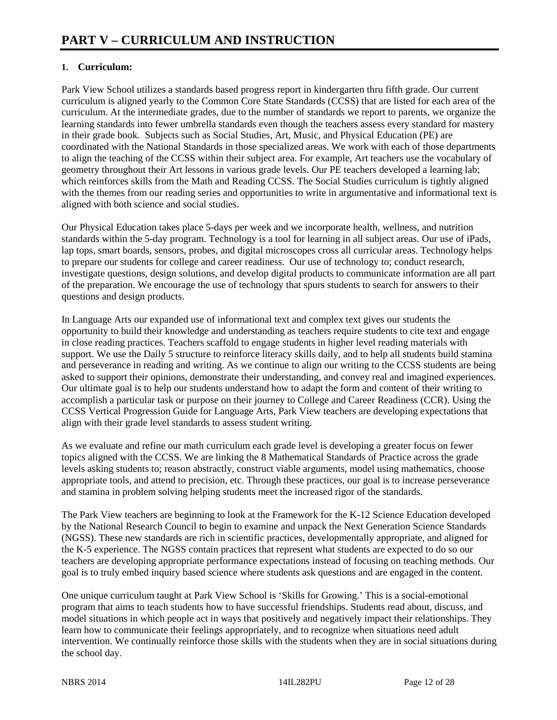# **1. Curriculum:**

Park View School utilizes a standards based progress report in kindergarten thru fifth grade. Our current curriculum is aligned yearly to the Common Core State Standards (CCSS) that are listed for each area of the curriculum. At the intermediate grades, due to the number of standards we report to parents, we organize the learning standards into fewer umbrella standards even though the teachers assess every standard for mastery in their grade book. Subjects such as Social Studies, Art, Music, and Physical Education (PE) are coordinated with the National Standards in those specialized areas. We work with each of those departments to align the teaching of the CCSS within their subject area. For example, Art teachers use the vocabulary of geometry throughout their Art lessons in various grade levels. Our PE teachers developed a learning lab; which reinforces skills from the Math and Reading CCSS. The Social Studies curriculum is tightly aligned with the themes from our reading series and opportunities to write in argumentative and informational text is aligned with both science and social studies.

Our Physical Education takes place 5-days per week and we incorporate health, wellness, and nutrition standards within the 5-day program. Technology is a tool for learning in all subject areas. Our use of iPads, lap tops, smart boards, sensors, probes, and digital microscopes cross all curricular areas. Technology helps to prepare our students for college and career readiness. Our use of technology to; conduct research, investigate questions, design solutions, and develop digital products to communicate information are all part of the preparation. We encourage the use of technology that spurs students to search for answers to their questions and design products.

In Language Arts our expanded use of informational text and complex text gives our students the opportunity to build their knowledge and understanding as teachers require students to cite text and engage in close reading practices. Teachers scaffold to engage students in higher level reading materials with support. We use the Daily 5 structure to reinforce literacy skills daily, and to help all students build stamina and perseverance in reading and writing. As we continue to align our writing to the CCSS students are being asked to support their opinions, demonstrate their understanding, and convey real and imagined experiences. Our ultimate goal is to help our students understand how to adapt the form and content of their writing to accomplish a particular task or purpose on their journey to College and Career Readiness (CCR). Using the CCSS Vertical Progression Guide for Language Arts, Park View teachers are developing expectations that align with their grade level standards to assess student writing.

As we evaluate and refine our math curriculum each grade level is developing a greater focus on fewer topics aligned with the CCSS. We are linking the 8 Mathematical Standards of Practice across the grade levels asking students to; reason abstractly, construct viable arguments, model using mathematics, choose appropriate tools, and attend to precision, etc. Through these practices, our goal is to increase perseverance and stamina in problem solving helping students meet the increased rigor of the standards.

The Park View teachers are beginning to look at the Framework for the K-12 Science Education developed by the National Research Council to begin to examine and unpack the Next Generation Science Standards (NGSS). These new standards are rich in scientific practices, developmentally appropriate, and aligned for the K-5 experience. The NGSS contain practices that represent what students are expected to do so our teachers are developing appropriate performance expectations instead of focusing on teaching methods. Our goal is to truly embed inquiry based science where students ask questions and are engaged in the content.

One unique curriculum taught at Park View School is 'Skills for Growing.' This is a social-emotional program that aims to teach students how to have successful friendships. Students read about, discuss, and model situations in which people act in ways that positively and negatively impact their relationships. They learn how to communicate their feelings appropriately, and to recognize when situations need adult intervention. We continually reinforce those skills with the students when they are in social situations during the school day.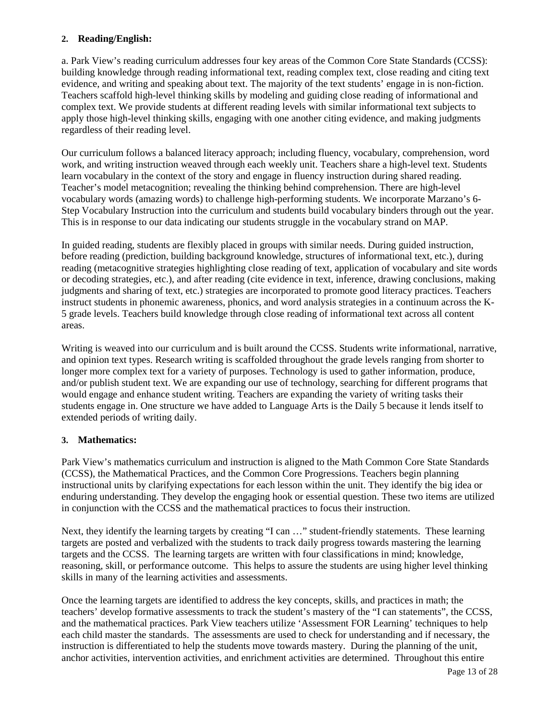# **2. Reading/English:**

a. Park View's reading curriculum addresses four key areas of the Common Core State Standards (CCSS): building knowledge through reading informational text, reading complex text, close reading and citing text evidence, and writing and speaking about text. The majority of the text students' engage in is non-fiction. Teachers scaffold high-level thinking skills by modeling and guiding close reading of informational and complex text. We provide students at different reading levels with similar informational text subjects to apply those high-level thinking skills, engaging with one another citing evidence, and making judgments regardless of their reading level.

Our curriculum follows a balanced literacy approach; including fluency, vocabulary, comprehension, word work, and writing instruction weaved through each weekly unit. Teachers share a high-level text. Students learn vocabulary in the context of the story and engage in fluency instruction during shared reading. Teacher's model metacognition; revealing the thinking behind comprehension. There are high-level vocabulary words (amazing words) to challenge high-performing students. We incorporate Marzano's 6- Step Vocabulary Instruction into the curriculum and students build vocabulary binders through out the year. This is in response to our data indicating our students struggle in the vocabulary strand on MAP.

In guided reading, students are flexibly placed in groups with similar needs. During guided instruction, before reading (prediction, building background knowledge, structures of informational text, etc.), during reading (metacognitive strategies highlighting close reading of text, application of vocabulary and site words or decoding strategies, etc.), and after reading (cite evidence in text, inference, drawing conclusions, making judgments and sharing of text, etc.) strategies are incorporated to promote good literacy practices. Teachers instruct students in phonemic awareness, phonics, and word analysis strategies in a continuum across the K-5 grade levels. Teachers build knowledge through close reading of informational text across all content areas.

Writing is weaved into our curriculum and is built around the CCSS. Students write informational, narrative, and opinion text types. Research writing is scaffolded throughout the grade levels ranging from shorter to longer more complex text for a variety of purposes. Technology is used to gather information, produce, and/or publish student text. We are expanding our use of technology, searching for different programs that would engage and enhance student writing. Teachers are expanding the variety of writing tasks their students engage in. One structure we have added to Language Arts is the Daily 5 because it lends itself to extended periods of writing daily.

# **3. Mathematics:**

Park View's mathematics curriculum and instruction is aligned to the Math Common Core State Standards (CCSS), the Mathematical Practices, and the Common Core Progressions. Teachers begin planning instructional units by clarifying expectations for each lesson within the unit. They identify the big idea or enduring understanding. They develop the engaging hook or essential question. These two items are utilized in conjunction with the CCSS and the mathematical practices to focus their instruction.

Next, they identify the learning targets by creating "I can ..." student-friendly statements. These learning targets are posted and verbalized with the students to track daily progress towards mastering the learning targets and the CCSS. The learning targets are written with four classifications in mind; knowledge, reasoning, skill, or performance outcome. This helps to assure the students are using higher level thinking skills in many of the learning activities and assessments.

Once the learning targets are identified to address the key concepts, skills, and practices in math; the teachers' develop formative assessments to track the student's mastery of the "I can statements", the CCSS, and the mathematical practices. Park View teachers utilize 'Assessment FOR Learning' techniques to help each child master the standards. The assessments are used to check for understanding and if necessary, the instruction is differentiated to help the students move towards mastery. During the planning of the unit, anchor activities, intervention activities, and enrichment activities are determined. Throughout this entire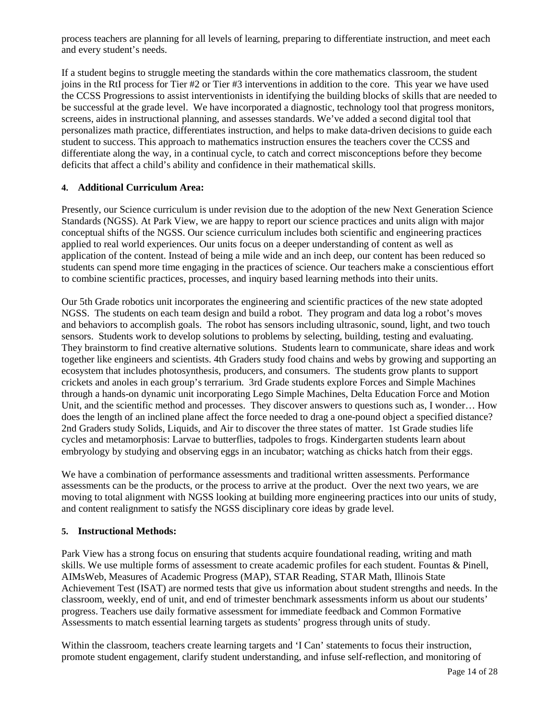process teachers are planning for all levels of learning, preparing to differentiate instruction, and meet each and every student's needs.

If a student begins to struggle meeting the standards within the core mathematics classroom, the student joins in the RtI process for Tier #2 or Tier #3 interventions in addition to the core. This year we have used the CCSS Progressions to assist interventionists in identifying the building blocks of skills that are needed to be successful at the grade level. We have incorporated a diagnostic, technology tool that progress monitors, screens, aides in instructional planning, and assesses standards. We've added a second digital tool that personalizes math practice, differentiates instruction, and helps to make data-driven decisions to guide each student to success. This approach to mathematics instruction ensures the teachers cover the CCSS and differentiate along the way, in a continual cycle, to catch and correct misconceptions before they become deficits that affect a child's ability and confidence in their mathematical skills.

# **4. Additional Curriculum Area:**

Presently, our Science curriculum is under revision due to the adoption of the new Next Generation Science Standards (NGSS). At Park View, we are happy to report our science practices and units align with major conceptual shifts of the NGSS. Our science curriculum includes both scientific and engineering practices applied to real world experiences. Our units focus on a deeper understanding of content as well as application of the content. Instead of being a mile wide and an inch deep, our content has been reduced so students can spend more time engaging in the practices of science. Our teachers make a conscientious effort to combine scientific practices, processes, and inquiry based learning methods into their units.

Our 5th Grade robotics unit incorporates the engineering and scientific practices of the new state adopted NGSS. The students on each team design and build a robot. They program and data log a robot's moves and behaviors to accomplish goals. The robot has sensors including ultrasonic, sound, light, and two touch sensors. Students work to develop solutions to problems by selecting, building, testing and evaluating. They brainstorm to find creative alternative solutions. Students learn to communicate, share ideas and work together like engineers and scientists. 4th Graders study food chains and webs by growing and supporting an ecosystem that includes photosynthesis, producers, and consumers. The students grow plants to support crickets and anoles in each group's terrarium. 3rd Grade students explore Forces and Simple Machines through a hands-on dynamic unit incorporating Lego Simple Machines, Delta Education Force and Motion Unit, and the scientific method and processes. They discover answers to questions such as, I wonder… How does the length of an inclined plane affect the force needed to drag a one-pound object a specified distance? 2nd Graders study Solids, Liquids, and Air to discover the three states of matter. 1st Grade studies life cycles and metamorphosis: Larvae to butterflies, tadpoles to frogs. Kindergarten students learn about embryology by studying and observing eggs in an incubator; watching as chicks hatch from their eggs.

We have a combination of performance assessments and traditional written assessments. Performance assessments can be the products, or the process to arrive at the product. Over the next two years, we are moving to total alignment with NGSS looking at building more engineering practices into our units of study, and content realignment to satisfy the NGSS disciplinary core ideas by grade level.

#### **5. Instructional Methods:**

Park View has a strong focus on ensuring that students acquire foundational reading, writing and math skills. We use multiple forms of assessment to create academic profiles for each student. Fountas & Pinell, AIMsWeb, Measures of Academic Progress (MAP), STAR Reading, STAR Math, Illinois State Achievement Test (ISAT) are normed tests that give us information about student strengths and needs. In the classroom, weekly, end of unit, and end of trimester benchmark assessments inform us about our students' progress. Teachers use daily formative assessment for immediate feedback and Common Formative Assessments to match essential learning targets as students' progress through units of study.

Within the classroom, teachers create learning targets and 'I Can' statements to focus their instruction, promote student engagement, clarify student understanding, and infuse self-reflection, and monitoring of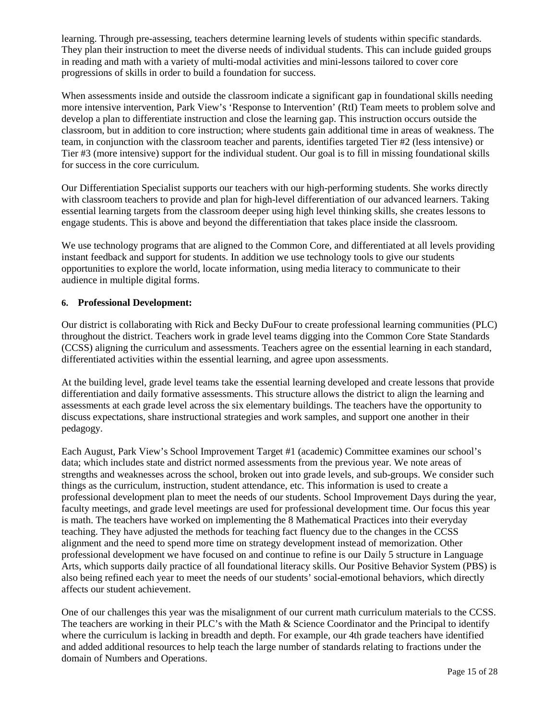learning. Through pre-assessing, teachers determine learning levels of students within specific standards. They plan their instruction to meet the diverse needs of individual students. This can include guided groups in reading and math with a variety of multi-modal activities and mini-lessons tailored to cover core progressions of skills in order to build a foundation for success.

When assessments inside and outside the classroom indicate a significant gap in foundational skills needing more intensive intervention, Park View's 'Response to Intervention' (RtI) Team meets to problem solve and develop a plan to differentiate instruction and close the learning gap. This instruction occurs outside the classroom, but in addition to core instruction; where students gain additional time in areas of weakness. The team, in conjunction with the classroom teacher and parents, identifies targeted Tier #2 (less intensive) or Tier #3 (more intensive) support for the individual student. Our goal is to fill in missing foundational skills for success in the core curriculum.

Our Differentiation Specialist supports our teachers with our high-performing students. She works directly with classroom teachers to provide and plan for high-level differentiation of our advanced learners. Taking essential learning targets from the classroom deeper using high level thinking skills, she creates lessons to engage students. This is above and beyond the differentiation that takes place inside the classroom.

We use technology programs that are aligned to the Common Core, and differentiated at all levels providing instant feedback and support for students. In addition we use technology tools to give our students opportunities to explore the world, locate information, using media literacy to communicate to their audience in multiple digital forms.

# **6. Professional Development:**

Our district is collaborating with Rick and Becky DuFour to create professional learning communities (PLC) throughout the district. Teachers work in grade level teams digging into the Common Core State Standards (CCSS) aligning the curriculum and assessments. Teachers agree on the essential learning in each standard, differentiated activities within the essential learning, and agree upon assessments.

At the building level, grade level teams take the essential learning developed and create lessons that provide differentiation and daily formative assessments. This structure allows the district to align the learning and assessments at each grade level across the six elementary buildings. The teachers have the opportunity to discuss expectations, share instructional strategies and work samples, and support one another in their pedagogy.

Each August, Park View's School Improvement Target #1 (academic) Committee examines our school's data; which includes state and district normed assessments from the previous year. We note areas of strengths and weaknesses across the school, broken out into grade levels, and sub-groups. We consider such things as the curriculum, instruction, student attendance, etc. This information is used to create a professional development plan to meet the needs of our students. School Improvement Days during the year, faculty meetings, and grade level meetings are used for professional development time. Our focus this year is math. The teachers have worked on implementing the 8 Mathematical Practices into their everyday teaching. They have adjusted the methods for teaching fact fluency due to the changes in the CCSS alignment and the need to spend more time on strategy development instead of memorization. Other professional development we have focused on and continue to refine is our Daily 5 structure in Language Arts, which supports daily practice of all foundational literacy skills. Our Positive Behavior System (PBS) is also being refined each year to meet the needs of our students' social-emotional behaviors, which directly affects our student achievement.

One of our challenges this year was the misalignment of our current math curriculum materials to the CCSS. The teachers are working in their PLC's with the Math  $&$  Science Coordinator and the Principal to identify where the curriculum is lacking in breadth and depth. For example, our 4th grade teachers have identified and added additional resources to help teach the large number of standards relating to fractions under the domain of Numbers and Operations.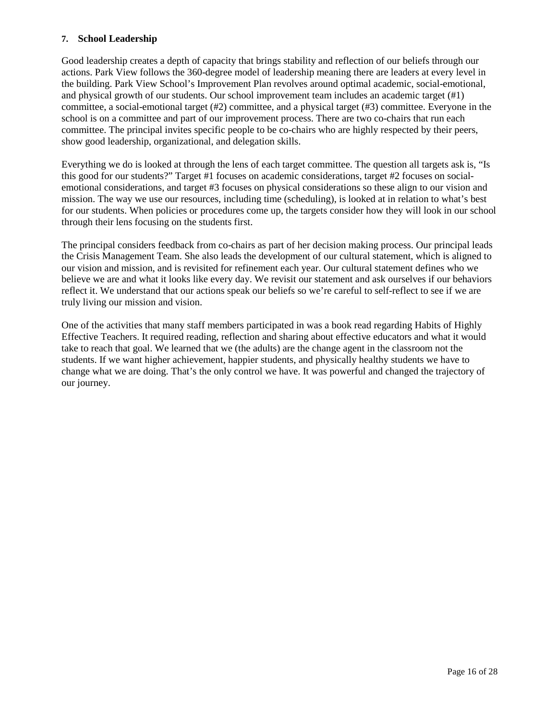#### **7. School Leadership**

Good leadership creates a depth of capacity that brings stability and reflection of our beliefs through our actions. Park View follows the 360-degree model of leadership meaning there are leaders at every level in the building. Park View School's Improvement Plan revolves around optimal academic, social-emotional, and physical growth of our students. Our school improvement team includes an academic target (#1) committee, a social-emotional target (#2) committee, and a physical target (#3) committee. Everyone in the school is on a committee and part of our improvement process. There are two co-chairs that run each committee. The principal invites specific people to be co-chairs who are highly respected by their peers, show good leadership, organizational, and delegation skills.

Everything we do is looked at through the lens of each target committee. The question all targets ask is, "Is this good for our students?" Target #1 focuses on academic considerations, target #2 focuses on socialemotional considerations, and target #3 focuses on physical considerations so these align to our vision and mission. The way we use our resources, including time (scheduling), is looked at in relation to what's best for our students. When policies or procedures come up, the targets consider how they will look in our school through their lens focusing on the students first.

The principal considers feedback from co-chairs as part of her decision making process. Our principal leads the Crisis Management Team. She also leads the development of our cultural statement, which is aligned to our vision and mission, and is revisited for refinement each year. Our cultural statement defines who we believe we are and what it looks like every day. We revisit our statement and ask ourselves if our behaviors reflect it. We understand that our actions speak our beliefs so we're careful to self-reflect to see if we are truly living our mission and vision.

One of the activities that many staff members participated in was a book read regarding Habits of Highly Effective Teachers. It required reading, reflection and sharing about effective educators and what it would take to reach that goal. We learned that we (the adults) are the change agent in the classroom not the students. If we want higher achievement, happier students, and physically healthy students we have to change what we are doing. That's the only control we have. It was powerful and changed the trajectory of our journey.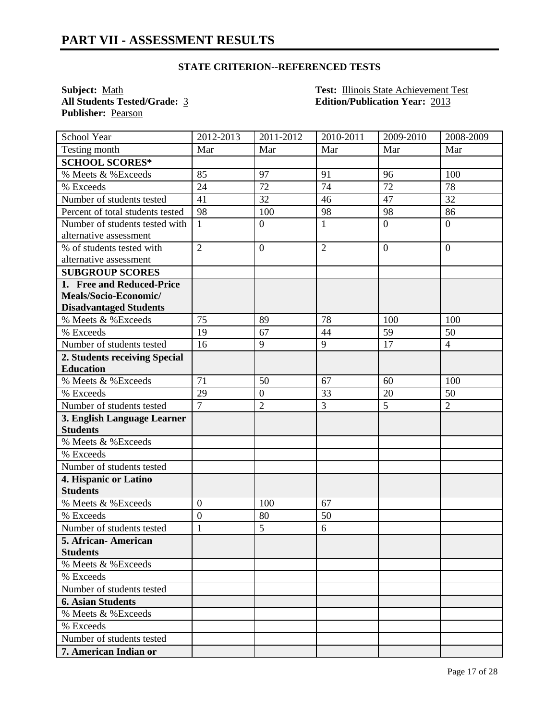**Publisher:** Pearson

**Subject:** <u>Math **Test: Illinois State Achievement Test**<br> **All Students Tested/Grade:** 3 **Edition/Publication Year:** 2013</u> **All Students Tested/Grade:** 3 **Edition/Publication Year:** 2013

| School Year                      | 2012-2013        | 2011-2012        | 2010-2011      | 2009-2010        | 2008-2009      |
|----------------------------------|------------------|------------------|----------------|------------------|----------------|
| Testing month                    | Mar              | Mar              | Mar            | Mar              | Mar            |
| <b>SCHOOL SCORES*</b>            |                  |                  |                |                  |                |
| % Meets & %Exceeds               | 85               | 97               | 91             | 96               | 100            |
| % Exceeds                        | 24               | 72               | 74             | 72               | 78             |
| Number of students tested        | 41               | 32               | 46             | 47               | 32             |
| Percent of total students tested | 98               | 100              | 98             | 98               | 86             |
| Number of students tested with   | $\mathbf{1}$     | $\boldsymbol{0}$ | 1              | $\boldsymbol{0}$ | $\overline{0}$ |
| alternative assessment           |                  |                  |                |                  |                |
| % of students tested with        | $\overline{2}$   | $\mathbf{0}$     | $\overline{2}$ | $\overline{0}$   | $\overline{0}$ |
| alternative assessment           |                  |                  |                |                  |                |
| <b>SUBGROUP SCORES</b>           |                  |                  |                |                  |                |
| 1. Free and Reduced-Price        |                  |                  |                |                  |                |
| Meals/Socio-Economic/            |                  |                  |                |                  |                |
| <b>Disadvantaged Students</b>    |                  |                  |                |                  |                |
| % Meets & %Exceeds               | 75               | 89               | 78             | 100              | 100            |
| % Exceeds                        | 19               | 67               | 44             | 59               | 50             |
| Number of students tested        | 16               | 9                | 9              | 17               | $\overline{4}$ |
| 2. Students receiving Special    |                  |                  |                |                  |                |
| <b>Education</b>                 |                  |                  |                |                  |                |
| % Meets & %Exceeds               | 71               | 50               | 67             | 60               | 100            |
| % Exceeds                        | 29               | $\boldsymbol{0}$ | 33             | 20               | 50             |
| Number of students tested        | $\overline{7}$   | $\overline{2}$   | 3              | 5                | $\overline{2}$ |
| 3. English Language Learner      |                  |                  |                |                  |                |
| <b>Students</b>                  |                  |                  |                |                  |                |
| % Meets & %Exceeds               |                  |                  |                |                  |                |
| % Exceeds                        |                  |                  |                |                  |                |
| Number of students tested        |                  |                  |                |                  |                |
| 4. Hispanic or Latino            |                  |                  |                |                  |                |
| <b>Students</b>                  |                  |                  |                |                  |                |
| % Meets & %Exceeds               | $\boldsymbol{0}$ | 100              | 67             |                  |                |
| % Exceeds                        | $\mathbf{0}$     | 80               | 50             |                  |                |
| Number of students tested        | $\mathbf{1}$     | 5                | 6              |                  |                |
| 5. African - American            |                  |                  |                |                  |                |
| <b>Students</b>                  |                  |                  |                |                  |                |
| % Meets & %Exceeds               |                  |                  |                |                  |                |
| % Exceeds                        |                  |                  |                |                  |                |
| Number of students tested        |                  |                  |                |                  |                |
| <b>6. Asian Students</b>         |                  |                  |                |                  |                |
| % Meets & %Exceeds               |                  |                  |                |                  |                |
| % Exceeds                        |                  |                  |                |                  |                |
| Number of students tested        |                  |                  |                |                  |                |
| 7. American Indian or            |                  |                  |                |                  |                |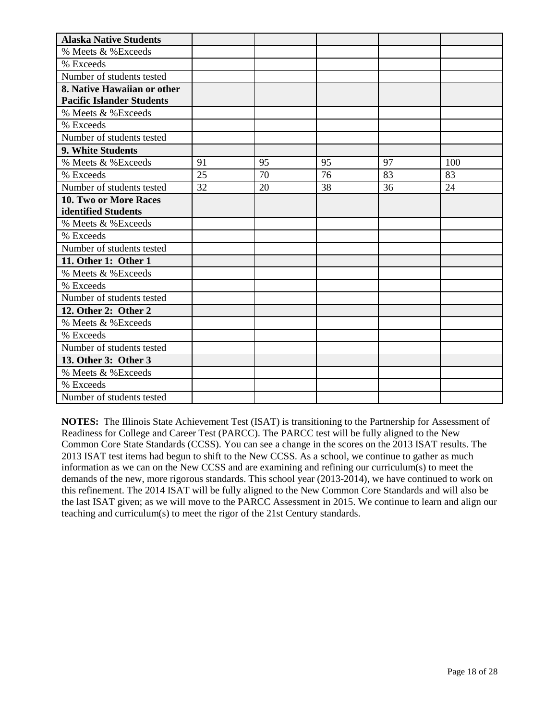| <b>Alaska Native Students</b>    |    |    |    |    |     |
|----------------------------------|----|----|----|----|-----|
| % Meets & %Exceeds               |    |    |    |    |     |
| % Exceeds                        |    |    |    |    |     |
| Number of students tested        |    |    |    |    |     |
| 8. Native Hawaiian or other      |    |    |    |    |     |
| <b>Pacific Islander Students</b> |    |    |    |    |     |
| % Meets & %Exceeds               |    |    |    |    |     |
| % Exceeds                        |    |    |    |    |     |
| Number of students tested        |    |    |    |    |     |
| 9. White Students                |    |    |    |    |     |
| % Meets & %Exceeds               | 91 | 95 | 95 | 97 | 100 |
| % Exceeds                        | 25 | 70 | 76 | 83 | 83  |
| Number of students tested        | 32 | 20 | 38 | 36 | 24  |
| 10. Two or More Races            |    |    |    |    |     |
| identified Students              |    |    |    |    |     |
| % Meets & %Exceeds               |    |    |    |    |     |
| % Exceeds                        |    |    |    |    |     |
| Number of students tested        |    |    |    |    |     |
| 11. Other 1: Other 1             |    |    |    |    |     |
| % Meets & %Exceeds               |    |    |    |    |     |
| % Exceeds                        |    |    |    |    |     |
| Number of students tested        |    |    |    |    |     |
| 12. Other 2: Other 2             |    |    |    |    |     |
| % Meets & %Exceeds               |    |    |    |    |     |
| % Exceeds                        |    |    |    |    |     |
| Number of students tested        |    |    |    |    |     |
| 13. Other 3: Other 3             |    |    |    |    |     |
| % Meets & %Exceeds               |    |    |    |    |     |
| % Exceeds                        |    |    |    |    |     |
| Number of students tested        |    |    |    |    |     |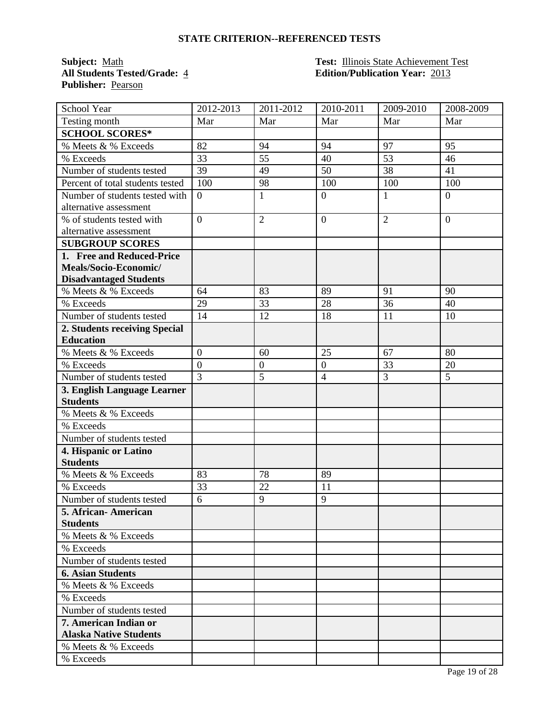**Publisher:** Pearson

#### **Subject:** Math **Test: Test: Illinois State Achievement Test All Students Tested/Grade:** 4 **Edition/Publication Year:** 2013

| School Year                      | 2012-2013      | 2011-2012        | 2010-2011        | 2009-2010      | 2008-2009      |
|----------------------------------|----------------|------------------|------------------|----------------|----------------|
| Testing month                    | Mar            | Mar              | Mar              | Mar            | Mar            |
| <b>SCHOOL SCORES*</b>            |                |                  |                  |                |                |
| % Meets & % Exceeds              | 82             | 94               | 94               | 97             | 95             |
| % Exceeds                        | 33             | 55               | 40               | 53             | 46             |
| Number of students tested        | 39             | 49               | 50               | 38             | 41             |
| Percent of total students tested | 100            | 98               | 100              | 100            | 100            |
| Number of students tested with   | $\overline{0}$ | $\mathbf{1}$     | $\boldsymbol{0}$ | $\mathbf{1}$   | $\overline{0}$ |
| alternative assessment           |                |                  |                  |                |                |
| % of students tested with        | $\overline{0}$ | $\overline{2}$   | $\overline{0}$   | $\overline{2}$ | $\overline{0}$ |
| alternative assessment           |                |                  |                  |                |                |
| <b>SUBGROUP SCORES</b>           |                |                  |                  |                |                |
| 1. Free and Reduced-Price        |                |                  |                  |                |                |
| Meals/Socio-Economic/            |                |                  |                  |                |                |
| <b>Disadvantaged Students</b>    |                |                  |                  |                |                |
| % Meets & % Exceeds              | 64             | 83               | 89               | 91             | 90             |
| % Exceeds                        | 29             | 33               | 28               | 36             | 40             |
| Number of students tested        | 14             | 12               | 18               | 11             | 10             |
| 2. Students receiving Special    |                |                  |                  |                |                |
| <b>Education</b>                 |                |                  |                  |                |                |
| % Meets & % Exceeds              | $\overline{0}$ | 60               | 25               | 67             | 80             |
| % Exceeds                        | $\overline{0}$ | $\boldsymbol{0}$ | $\boldsymbol{0}$ | 33             | 20             |
| Number of students tested        | $\overline{3}$ | 5                | $\overline{4}$   | $\overline{3}$ | 5              |
| 3. English Language Learner      |                |                  |                  |                |                |
| <b>Students</b>                  |                |                  |                  |                |                |
| % Meets & % Exceeds              |                |                  |                  |                |                |
| % Exceeds                        |                |                  |                  |                |                |
| Number of students tested        |                |                  |                  |                |                |
| 4. Hispanic or Latino            |                |                  |                  |                |                |
| <b>Students</b>                  |                |                  |                  |                |                |
| % Meets & % Exceeds              | 83             | 78               | 89               |                |                |
| % Exceeds                        | 33             | 22               | 11               |                |                |
| Number of students tested        | 6              | 9                | 9                |                |                |
| 5. African- American             |                |                  |                  |                |                |
| <b>Students</b>                  |                |                  |                  |                |                |
| % Meets & % Exceeds              |                |                  |                  |                |                |
| % Exceeds                        |                |                  |                  |                |                |
| Number of students tested        |                |                  |                  |                |                |
| <b>6. Asian Students</b>         |                |                  |                  |                |                |
| % Meets & % Exceeds              |                |                  |                  |                |                |
| % Exceeds                        |                |                  |                  |                |                |
| Number of students tested        |                |                  |                  |                |                |
| 7. American Indian or            |                |                  |                  |                |                |
| <b>Alaska Native Students</b>    |                |                  |                  |                |                |
| % Meets & % Exceeds              |                |                  |                  |                |                |
| % Exceeds                        |                |                  |                  |                |                |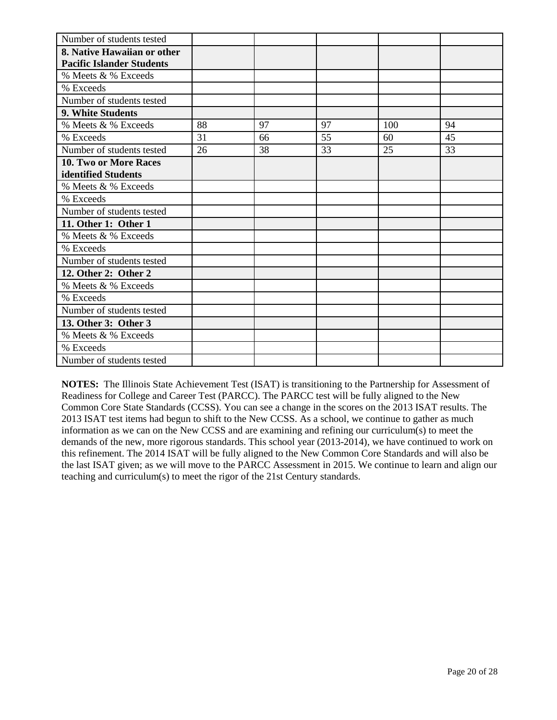| Number of students tested        |    |    |    |     |    |
|----------------------------------|----|----|----|-----|----|
| 8. Native Hawaiian or other      |    |    |    |     |    |
| <b>Pacific Islander Students</b> |    |    |    |     |    |
| % Meets & % Exceeds              |    |    |    |     |    |
| % Exceeds                        |    |    |    |     |    |
| Number of students tested        |    |    |    |     |    |
| 9. White Students                |    |    |    |     |    |
| % Meets & % Exceeds              | 88 | 97 | 97 | 100 | 94 |
| % Exceeds                        | 31 | 66 | 55 | 60  | 45 |
| Number of students tested        | 26 | 38 | 33 | 25  | 33 |
| 10. Two or More Races            |    |    |    |     |    |
| identified Students              |    |    |    |     |    |
| % Meets & % Exceeds              |    |    |    |     |    |
| % Exceeds                        |    |    |    |     |    |
| Number of students tested        |    |    |    |     |    |
| 11. Other 1: Other 1             |    |    |    |     |    |
| % Meets & % Exceeds              |    |    |    |     |    |
| % Exceeds                        |    |    |    |     |    |
| Number of students tested        |    |    |    |     |    |
| 12. Other 2: Other 2             |    |    |    |     |    |
| % Meets & % Exceeds              |    |    |    |     |    |
| % Exceeds                        |    |    |    |     |    |
| Number of students tested        |    |    |    |     |    |
| 13. Other 3: Other 3             |    |    |    |     |    |
| % Meets & % Exceeds              |    |    |    |     |    |
| % Exceeds                        |    |    |    |     |    |
| Number of students tested        |    |    |    |     |    |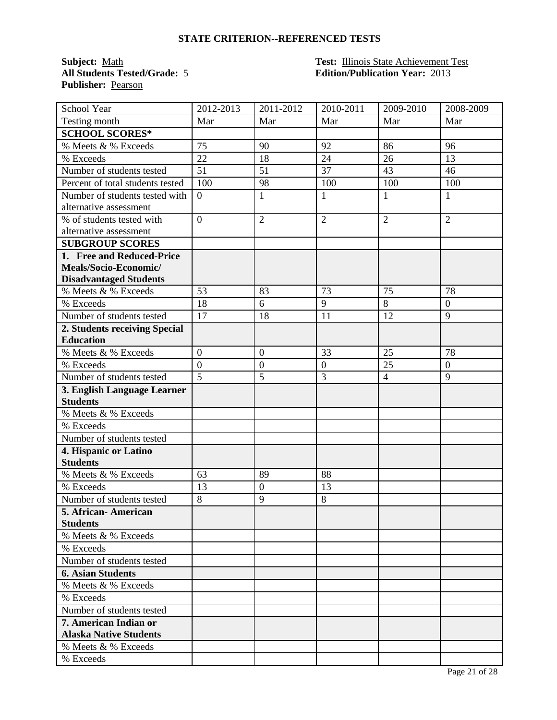**Publisher:** Pearson

#### **Subject:** Math **Test: Test: Illinois State Achievement Test All Students Tested/Grade:** 5 **Edition/Publication Year:** 2013

| School Year                      | 2012-2013      | $\overline{2011}$ -2012 | 2010-2011        | 2009-2010      | 2008-2009      |
|----------------------------------|----------------|-------------------------|------------------|----------------|----------------|
| Testing month                    | Mar            | Mar                     | Mar              | Mar            | Mar            |
| <b>SCHOOL SCORES*</b>            |                |                         |                  |                |                |
| % Meets & % Exceeds              | 75             | 90                      | 92               | 86             | 96             |
| % Exceeds                        | 22             | 18                      | 24               | 26             | 13             |
| Number of students tested        | 51             | 51                      | 37               | 43             | 46             |
| Percent of total students tested | 100            | 98                      | 100              | 100            | 100            |
| Number of students tested with   | $\overline{0}$ | $\mathbf{1}$            | 1                | 1              | $\mathbf{1}$   |
| alternative assessment           |                |                         |                  |                |                |
| % of students tested with        | $\overline{0}$ | $\overline{2}$          | $\overline{2}$   | $\overline{2}$ | $\overline{2}$ |
| alternative assessment           |                |                         |                  |                |                |
| <b>SUBGROUP SCORES</b>           |                |                         |                  |                |                |
| 1. Free and Reduced-Price        |                |                         |                  |                |                |
| Meals/Socio-Economic/            |                |                         |                  |                |                |
| <b>Disadvantaged Students</b>    |                |                         |                  |                |                |
| % Meets & % Exceeds              | 53             | 83                      | 73               | 75             | 78             |
| % Exceeds                        | 18             | 6                       | 9                | 8              | $\overline{0}$ |
| Number of students tested        | 17             | 18                      | 11               | 12             | 9              |
| 2. Students receiving Special    |                |                         |                  |                |                |
| <b>Education</b>                 |                |                         |                  |                |                |
| % Meets & % Exceeds              | $\overline{0}$ | $\boldsymbol{0}$        | 33               | 25             | 78             |
| % Exceeds                        | $\overline{0}$ | $\boldsymbol{0}$        | $\boldsymbol{0}$ | 25             | $\overline{0}$ |
| Number of students tested        | $\overline{5}$ | 5                       | 3                | $\overline{4}$ | 9              |
| 3. English Language Learner      |                |                         |                  |                |                |
| <b>Students</b>                  |                |                         |                  |                |                |
| % Meets & % Exceeds              |                |                         |                  |                |                |
| % Exceeds                        |                |                         |                  |                |                |
| Number of students tested        |                |                         |                  |                |                |
| 4. Hispanic or Latino            |                |                         |                  |                |                |
| <b>Students</b>                  |                |                         |                  |                |                |
| % Meets & % Exceeds              | 63             | 89                      | 88               |                |                |
| % Exceeds                        | 13             | $\boldsymbol{0}$        | 13               |                |                |
| Number of students tested        | 8              | 9                       | 8                |                |                |
| 5. African- American             |                |                         |                  |                |                |
| <b>Students</b>                  |                |                         |                  |                |                |
| % Meets & % Exceeds              |                |                         |                  |                |                |
| % Exceeds                        |                |                         |                  |                |                |
| Number of students tested        |                |                         |                  |                |                |
| <b>6. Asian Students</b>         |                |                         |                  |                |                |
| % Meets & % Exceeds              |                |                         |                  |                |                |
| % Exceeds                        |                |                         |                  |                |                |
| Number of students tested        |                |                         |                  |                |                |
| 7. American Indian or            |                |                         |                  |                |                |
| <b>Alaska Native Students</b>    |                |                         |                  |                |                |
| % Meets & % Exceeds              |                |                         |                  |                |                |
| % Exceeds                        |                |                         |                  |                |                |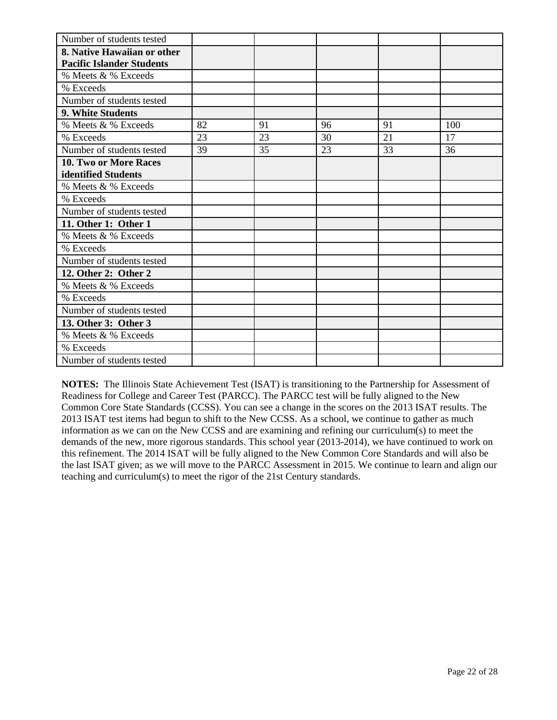| Number of students tested        |    |    |    |    |     |
|----------------------------------|----|----|----|----|-----|
| 8. Native Hawaiian or other      |    |    |    |    |     |
| <b>Pacific Islander Students</b> |    |    |    |    |     |
| % Meets & % Exceeds              |    |    |    |    |     |
| % Exceeds                        |    |    |    |    |     |
| Number of students tested        |    |    |    |    |     |
| 9. White Students                |    |    |    |    |     |
| % Meets & % Exceeds              | 82 | 91 | 96 | 91 | 100 |
| % Exceeds                        | 23 | 23 | 30 | 21 | 17  |
| Number of students tested        | 39 | 35 | 23 | 33 | 36  |
| 10. Two or More Races            |    |    |    |    |     |
| identified Students              |    |    |    |    |     |
| % Meets & % Exceeds              |    |    |    |    |     |
| % Exceeds                        |    |    |    |    |     |
| Number of students tested        |    |    |    |    |     |
| 11. Other 1: Other 1             |    |    |    |    |     |
| % Meets & % Exceeds              |    |    |    |    |     |
| % Exceeds                        |    |    |    |    |     |
| Number of students tested        |    |    |    |    |     |
| 12. Other 2: Other 2             |    |    |    |    |     |
| % Meets & % Exceeds              |    |    |    |    |     |
| % Exceeds                        |    |    |    |    |     |
| Number of students tested        |    |    |    |    |     |
| 13. Other 3: Other 3             |    |    |    |    |     |
| % Meets & % Exceeds              |    |    |    |    |     |
| % Exceeds                        |    |    |    |    |     |
| Number of students tested        |    |    |    |    |     |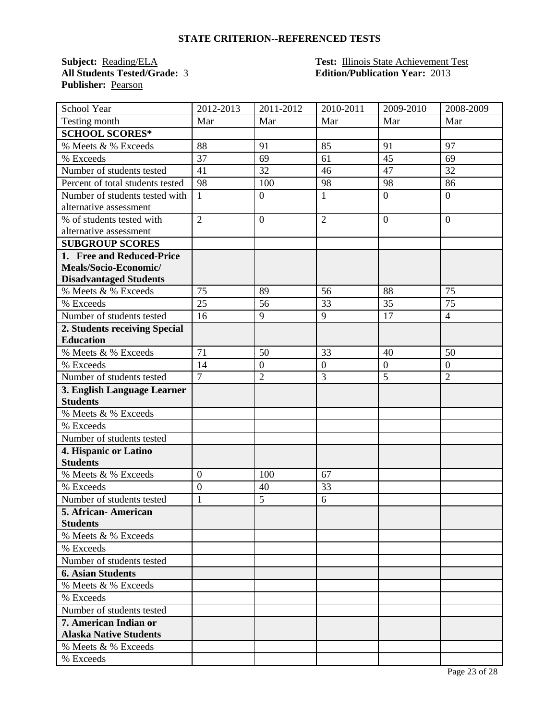**Publisher:** Pearson

#### **Subject:** Reading/ELA **Test:** Illinois State Achievement Test **All Students Tested/Grade:** 3 **Edition/Publication Year:** 2013

| School Year                      | 2012-2013        | 2011-2012        | 2010-2011        | 2009-2010      | 2008-2009      |
|----------------------------------|------------------|------------------|------------------|----------------|----------------|
| Testing month                    | Mar              | Mar              | Mar              | Mar            | Mar            |
| <b>SCHOOL SCORES*</b>            |                  |                  |                  |                |                |
| % Meets & % Exceeds              | 88               | 91               | 85               | 91             | 97             |
| % Exceeds                        | 37               | 69               | 61               | 45             | 69             |
| Number of students tested        | 41               | 32               | 46               | 47             | 32             |
| Percent of total students tested | 98               | 100              | 98               | 98             | 86             |
| Number of students tested with   | $\mathbf{1}$     | $\boldsymbol{0}$ | $\mathbf{1}$     | $\overline{0}$ | $\overline{0}$ |
| alternative assessment           |                  |                  |                  |                |                |
| % of students tested with        | $\overline{2}$   | $\mathbf{0}$     | $\overline{2}$   | $\overline{0}$ | $\overline{0}$ |
| alternative assessment           |                  |                  |                  |                |                |
| <b>SUBGROUP SCORES</b>           |                  |                  |                  |                |                |
| 1. Free and Reduced-Price        |                  |                  |                  |                |                |
| Meals/Socio-Economic/            |                  |                  |                  |                |                |
| <b>Disadvantaged Students</b>    |                  |                  |                  |                |                |
| % Meets & % Exceeds              | 75               | 89               | 56               | 88             | 75             |
| % Exceeds                        | 25               | 56               | 33               | 35             | 75             |
| Number of students tested        | 16               | 9                | 9                | 17             | $\overline{4}$ |
| 2. Students receiving Special    |                  |                  |                  |                |                |
| <b>Education</b>                 |                  |                  |                  |                |                |
| % Meets & % Exceeds              | 71               | 50               | 33               | 40             | 50             |
| % Exceeds                        | 14               | $\boldsymbol{0}$ | $\boldsymbol{0}$ | $\overline{0}$ | $\overline{0}$ |
| Number of students tested        | $\overline{7}$   | $\overline{2}$   | 3                | 5              | $\overline{2}$ |
| 3. English Language Learner      |                  |                  |                  |                |                |
| <b>Students</b>                  |                  |                  |                  |                |                |
| % Meets & % Exceeds              |                  |                  |                  |                |                |
| % Exceeds                        |                  |                  |                  |                |                |
| Number of students tested        |                  |                  |                  |                |                |
| 4. Hispanic or Latino            |                  |                  |                  |                |                |
| <b>Students</b>                  |                  |                  |                  |                |                |
| % Meets & % Exceeds              | $\boldsymbol{0}$ | 100              | 67               |                |                |
| % Exceeds                        | $\overline{0}$   | 40               | 33               |                |                |
| Number of students tested        | $\mathbf{1}$     | 5                | 6                |                |                |
| 5. African- American             |                  |                  |                  |                |                |
| <b>Students</b>                  |                  |                  |                  |                |                |
| % Meets & % Exceeds              |                  |                  |                  |                |                |
| % Exceeds                        |                  |                  |                  |                |                |
| Number of students tested        |                  |                  |                  |                |                |
| <b>6. Asian Students</b>         |                  |                  |                  |                |                |
| % Meets & % Exceeds              |                  |                  |                  |                |                |
| % Exceeds                        |                  |                  |                  |                |                |
| Number of students tested        |                  |                  |                  |                |                |
| 7. American Indian or            |                  |                  |                  |                |                |
| <b>Alaska Native Students</b>    |                  |                  |                  |                |                |
| % Meets & % Exceeds              |                  |                  |                  |                |                |
| % Exceeds                        |                  |                  |                  |                |                |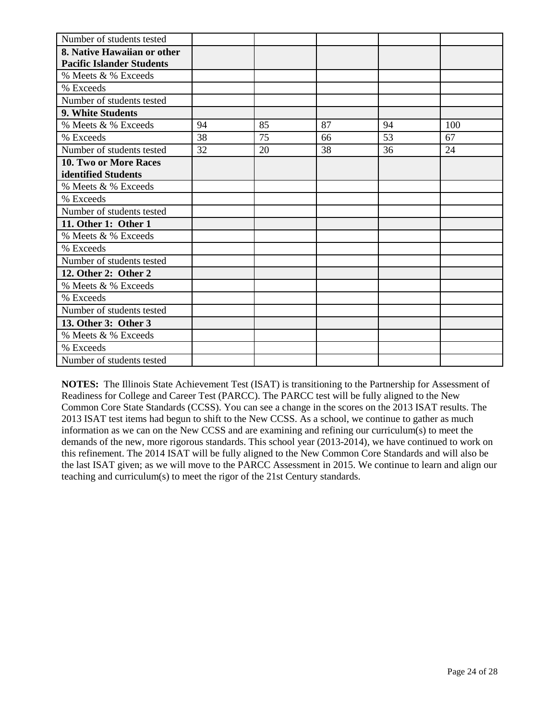| Number of students tested        |    |    |    |    |     |
|----------------------------------|----|----|----|----|-----|
| 8. Native Hawaiian or other      |    |    |    |    |     |
| <b>Pacific Islander Students</b> |    |    |    |    |     |
| % Meets & % Exceeds              |    |    |    |    |     |
| % Exceeds                        |    |    |    |    |     |
| Number of students tested        |    |    |    |    |     |
| 9. White Students                |    |    |    |    |     |
| % Meets & % Exceeds              | 94 | 85 | 87 | 94 | 100 |
| % Exceeds                        | 38 | 75 | 66 | 53 | 67  |
| Number of students tested        | 32 | 20 | 38 | 36 | 24  |
| 10. Two or More Races            |    |    |    |    |     |
| identified Students              |    |    |    |    |     |
| % Meets & % Exceeds              |    |    |    |    |     |
| % Exceeds                        |    |    |    |    |     |
| Number of students tested        |    |    |    |    |     |
| 11. Other 1: Other 1             |    |    |    |    |     |
| % Meets & % Exceeds              |    |    |    |    |     |
| % Exceeds                        |    |    |    |    |     |
| Number of students tested        |    |    |    |    |     |
| 12. Other 2: Other 2             |    |    |    |    |     |
| % Meets & % Exceeds              |    |    |    |    |     |
| % Exceeds                        |    |    |    |    |     |
| Number of students tested        |    |    |    |    |     |
| 13. Other 3: Other 3             |    |    |    |    |     |
| % Meets & % Exceeds              |    |    |    |    |     |
| % Exceeds                        |    |    |    |    |     |
| Number of students tested        |    |    |    |    |     |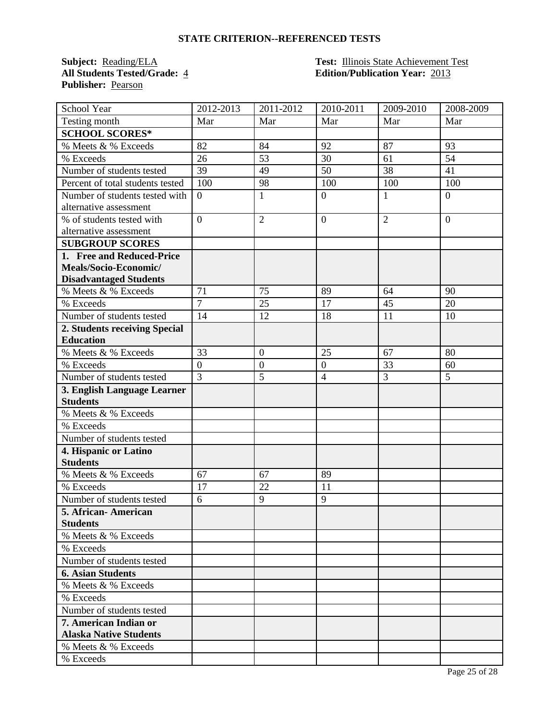**Publisher:** Pearson

#### **Subject:** Reading/ELA **Test:** Illinois State Achievement Test **All Students Tested/Grade:** 4 **Edition/Publication Year:** 2013

| <b>School Year</b>               | 2012-2013        | 2011-2012        | 2010-2011        | 2009-2010      | 2008-2009      |
|----------------------------------|------------------|------------------|------------------|----------------|----------------|
| Testing month                    | Mar              | Mar              | Mar              | Mar            | Mar            |
| <b>SCHOOL SCORES*</b>            |                  |                  |                  |                |                |
| % Meets & % Exceeds              | 82               | 84               | 92               | 87             | 93             |
| % Exceeds                        | 26               | 53               | 30               | 61             | 54             |
| Number of students tested        | 39               | 49               | 50               | 38             | 41             |
| Percent of total students tested | 100              | 98               | 100              | 100            | 100            |
| Number of students tested with   | $\boldsymbol{0}$ | $\mathbf{1}$     | $\boldsymbol{0}$ | $\mathbf{1}$   | $\overline{0}$ |
| alternative assessment           |                  |                  |                  |                |                |
| % of students tested with        | $\overline{0}$   | $\overline{2}$   | $\overline{0}$   | $\overline{2}$ | $\overline{0}$ |
| alternative assessment           |                  |                  |                  |                |                |
| <b>SUBGROUP SCORES</b>           |                  |                  |                  |                |                |
| 1. Free and Reduced-Price        |                  |                  |                  |                |                |
| Meals/Socio-Economic/            |                  |                  |                  |                |                |
| <b>Disadvantaged Students</b>    |                  |                  |                  |                |                |
| % Meets & % Exceeds              | 71               | 75               | 89               | 64             | 90             |
| % Exceeds                        | $\overline{7}$   | 25               | 17               | 45             | 20             |
| Number of students tested        | 14               | 12               | 18               | 11             | 10             |
| 2. Students receiving Special    |                  |                  |                  |                |                |
| <b>Education</b>                 |                  |                  |                  |                |                |
| % Meets & % Exceeds              | 33               | $\boldsymbol{0}$ | 25               | 67             | 80             |
| % Exceeds                        | $\overline{0}$   | $\boldsymbol{0}$ | $\boldsymbol{0}$ | 33             | 60             |
| Number of students tested        | $\overline{3}$   | $\overline{5}$   | $\overline{4}$   | $\overline{3}$ | 5              |
| 3. English Language Learner      |                  |                  |                  |                |                |
| <b>Students</b>                  |                  |                  |                  |                |                |
| % Meets & % Exceeds              |                  |                  |                  |                |                |
| % Exceeds                        |                  |                  |                  |                |                |
| Number of students tested        |                  |                  |                  |                |                |
| 4. Hispanic or Latino            |                  |                  |                  |                |                |
| <b>Students</b>                  |                  |                  |                  |                |                |
| % Meets & % Exceeds              | 67               | 67               | 89               |                |                |
| % Exceeds                        | 17               | 22               | 11               |                |                |
| Number of students tested        | 6                | 9                | 9                |                |                |
| 5. African- American             |                  |                  |                  |                |                |
| <b>Students</b>                  |                  |                  |                  |                |                |
| % Meets & % Exceeds              |                  |                  |                  |                |                |
| % Exceeds                        |                  |                  |                  |                |                |
| Number of students tested        |                  |                  |                  |                |                |
| <b>6. Asian Students</b>         |                  |                  |                  |                |                |
| % Meets & % Exceeds              |                  |                  |                  |                |                |
| % Exceeds                        |                  |                  |                  |                |                |
| Number of students tested        |                  |                  |                  |                |                |
| 7. American Indian or            |                  |                  |                  |                |                |
| <b>Alaska Native Students</b>    |                  |                  |                  |                |                |
| % Meets & % Exceeds              |                  |                  |                  |                |                |
| % Exceeds                        |                  |                  |                  |                |                |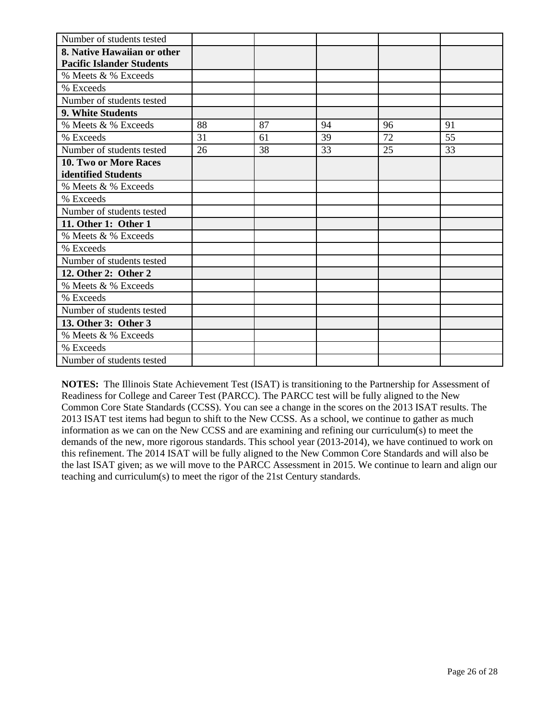| Number of students tested        |    |    |    |    |    |
|----------------------------------|----|----|----|----|----|
| 8. Native Hawaiian or other      |    |    |    |    |    |
| <b>Pacific Islander Students</b> |    |    |    |    |    |
| % Meets & % Exceeds              |    |    |    |    |    |
| % Exceeds                        |    |    |    |    |    |
| Number of students tested        |    |    |    |    |    |
| 9. White Students                |    |    |    |    |    |
| % Meets & % Exceeds              | 88 | 87 | 94 | 96 | 91 |
| % Exceeds                        | 31 | 61 | 39 | 72 | 55 |
| Number of students tested        | 26 | 38 | 33 | 25 | 33 |
| 10. Two or More Races            |    |    |    |    |    |
| identified Students              |    |    |    |    |    |
| % Meets & % Exceeds              |    |    |    |    |    |
| % Exceeds                        |    |    |    |    |    |
| Number of students tested        |    |    |    |    |    |
| 11. Other 1: Other 1             |    |    |    |    |    |
| % Meets & % Exceeds              |    |    |    |    |    |
| % Exceeds                        |    |    |    |    |    |
| Number of students tested        |    |    |    |    |    |
| 12. Other 2: Other 2             |    |    |    |    |    |
| % Meets & % Exceeds              |    |    |    |    |    |
| % Exceeds                        |    |    |    |    |    |
| Number of students tested        |    |    |    |    |    |
| 13. Other 3: Other 3             |    |    |    |    |    |
| % Meets & % Exceeds              |    |    |    |    |    |
| % Exceeds                        |    |    |    |    |    |
| Number of students tested        |    |    |    |    |    |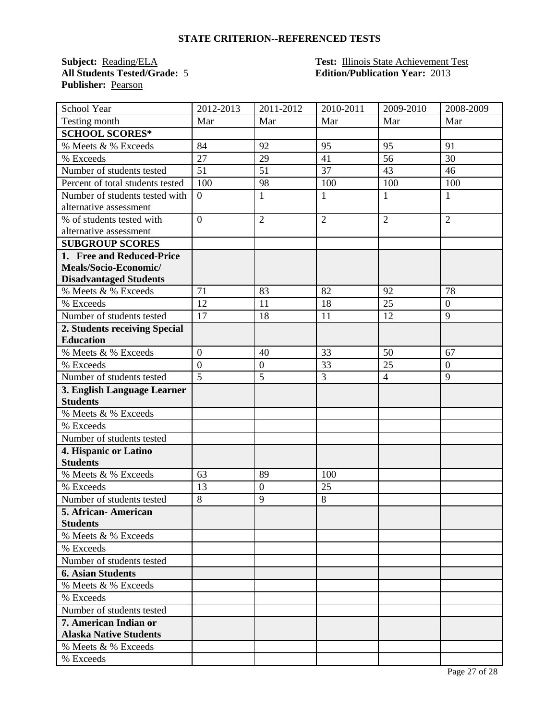**Publisher:** Pearson

#### **Subject:** Reading/ELA **Test:** Illinois State Achievement Test **All Students Tested/Grade:** 5 **Edition/Publication Year:** 2013

| School Year                      | 2012-2013      | $\overline{20}11 - 2012$ | 2010-2011      | 2009-2010      | 2008-2009      |
|----------------------------------|----------------|--------------------------|----------------|----------------|----------------|
| Testing month                    | Mar            | Mar                      | Mar            | Mar            | Mar            |
| <b>SCHOOL SCORES*</b>            |                |                          |                |                |                |
| % Meets & % Exceeds              | 84             | 92                       | 95             | 95             | 91             |
| % Exceeds                        | 27             | 29                       | 41             | 56             | 30             |
| Number of students tested        | 51             | 51                       | 37             | 43             | 46             |
| Percent of total students tested | 100            | 98                       | 100            | 100            | 100            |
| Number of students tested with   | $\overline{0}$ | $\mathbf{1}$             | $\mathbf{1}$   | $\mathbf{1}$   | 1              |
| alternative assessment           |                |                          |                |                |                |
| % of students tested with        | $\overline{0}$ | $\overline{2}$           | $\overline{2}$ | $\overline{2}$ | $\overline{2}$ |
| alternative assessment           |                |                          |                |                |                |
| <b>SUBGROUP SCORES</b>           |                |                          |                |                |                |
| 1. Free and Reduced-Price        |                |                          |                |                |                |
| Meals/Socio-Economic/            |                |                          |                |                |                |
| <b>Disadvantaged Students</b>    |                |                          |                |                |                |
| % Meets & % Exceeds              | 71             | 83                       | 82             | 92             | 78             |
| % Exceeds                        | 12             | 11                       | 18             | 25             | $\overline{0}$ |
| Number of students tested        | 17             | 18                       | 11             | 12             | 9              |
| 2. Students receiving Special    |                |                          |                |                |                |
| <b>Education</b>                 |                |                          |                |                |                |
| % Meets & % Exceeds              | $\overline{0}$ | 40                       | 33             | 50             | 67             |
| % Exceeds                        | $\overline{0}$ | $\boldsymbol{0}$         | 33             | 25             | $\overline{0}$ |
| Number of students tested        | $\overline{5}$ | 5                        | 3              | $\overline{4}$ | 9              |
| 3. English Language Learner      |                |                          |                |                |                |
| <b>Students</b>                  |                |                          |                |                |                |
| % Meets & % Exceeds              |                |                          |                |                |                |
| % Exceeds                        |                |                          |                |                |                |
| Number of students tested        |                |                          |                |                |                |
| 4. Hispanic or Latino            |                |                          |                |                |                |
| <b>Students</b>                  |                |                          |                |                |                |
| % Meets & % Exceeds              | 63             | 89                       | 100            |                |                |
| % Exceeds                        | 13             | $\overline{0}$           | 25             |                |                |
| Number of students tested        | 8              | 9                        | 8              |                |                |
| 5. African- American             |                |                          |                |                |                |
| <b>Students</b>                  |                |                          |                |                |                |
| % Meets & % Exceeds              |                |                          |                |                |                |
| % Exceeds                        |                |                          |                |                |                |
| Number of students tested        |                |                          |                |                |                |
| <b>6. Asian Students</b>         |                |                          |                |                |                |
| % Meets & % Exceeds              |                |                          |                |                |                |
| % Exceeds                        |                |                          |                |                |                |
| Number of students tested        |                |                          |                |                |                |
| 7. American Indian or            |                |                          |                |                |                |
| <b>Alaska Native Students</b>    |                |                          |                |                |                |
| % Meets & % Exceeds              |                |                          |                |                |                |
| % Exceeds                        |                |                          |                |                |                |